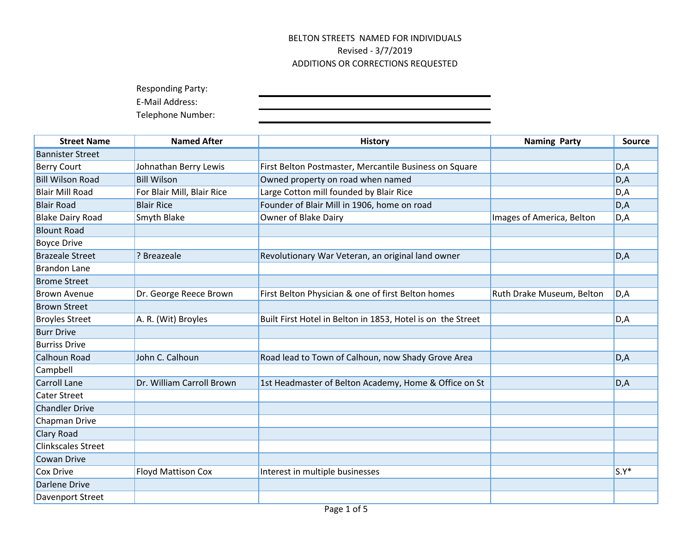Responding Party:

E-Mail Address:

| <b>Street Name</b>        | <b>Named After</b>         | <b>History</b>                                              | <b>Naming Party</b>       | <b>Source</b> |
|---------------------------|----------------------------|-------------------------------------------------------------|---------------------------|---------------|
| <b>Bannister Street</b>   |                            |                                                             |                           |               |
| <b>Berry Court</b>        | Johnathan Berry Lewis      | First Belton Postmaster, Mercantile Business on Square      |                           | D, A          |
| <b>Bill Wilson Road</b>   | <b>Bill Wilson</b>         | Owned property on road when named                           |                           | D, A          |
| <b>Blair Mill Road</b>    | For Blair Mill, Blair Rice | Large Cotton mill founded by Blair Rice                     |                           | D, A          |
| <b>Blair Road</b>         | <b>Blair Rice</b>          | Founder of Blair Mill in 1906, home on road                 |                           | D, A          |
| <b>Blake Dairy Road</b>   | <b>Smyth Blake</b>         | <b>Owner of Blake Dairy</b>                                 | Images of America, Belton | D,A           |
| <b>Blount Road</b>        |                            |                                                             |                           |               |
| <b>Boyce Drive</b>        |                            |                                                             |                           |               |
| <b>Brazeale Street</b>    | ? Breazeale                | Revolutionary War Veteran, an original land owner           |                           | D, A          |
| <b>Brandon Lane</b>       |                            |                                                             |                           |               |
| <b>Brome Street</b>       |                            |                                                             |                           |               |
| <b>Brown Avenue</b>       | Dr. George Reece Brown     | First Belton Physician & one of first Belton homes          | Ruth Drake Museum, Belton | D, A          |
| <b>Brown Street</b>       |                            |                                                             |                           |               |
| <b>Broyles Street</b>     | A. R. (Wit) Broyles        | Built First Hotel in Belton in 1853, Hotel is on the Street |                           | D, A          |
| <b>Burr Drive</b>         |                            |                                                             |                           |               |
| <b>Burriss Drive</b>      |                            |                                                             |                           |               |
| <b>Calhoun Road</b>       | John C. Calhoun            | Road lead to Town of Calhoun, now Shady Grove Area          |                           | D, A          |
| Campbell                  |                            |                                                             |                           |               |
| <b>Carroll Lane</b>       | Dr. William Carroll Brown  | 1st Headmaster of Belton Academy, Home & Office on St       |                           | D, A          |
| <b>Cater Street</b>       |                            |                                                             |                           |               |
| <b>Chandler Drive</b>     |                            |                                                             |                           |               |
| Chapman Drive             |                            |                                                             |                           |               |
| Clary Road                |                            |                                                             |                           |               |
| <b>Clinkscales Street</b> |                            |                                                             |                           |               |
| <b>Cowan Drive</b>        |                            |                                                             |                           |               |
| Cox Drive                 | <b>Floyd Mattison Cox</b>  | Interest in multiple businesses                             |                           | $S.Y^*$       |
| <b>Darlene Drive</b>      |                            |                                                             |                           |               |
| Davenport Street          |                            |                                                             |                           |               |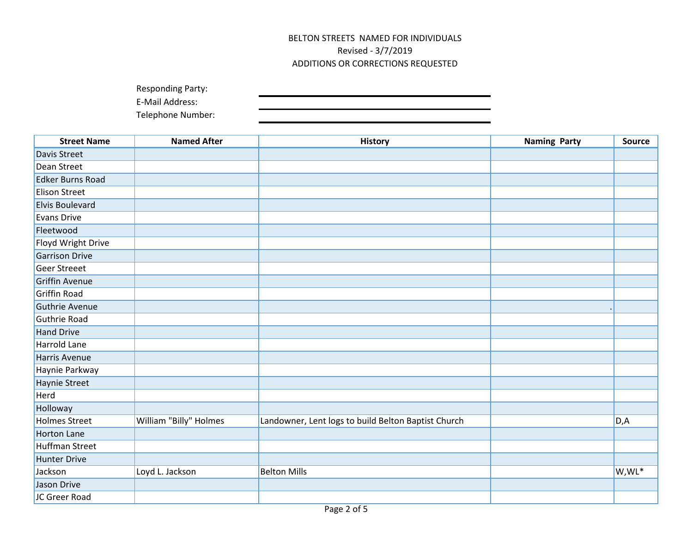Responding Party:

E-Mail Address:

| <b>Street Name</b>      | <b>Named After</b>     | <b>History</b>                                      | <b>Naming Party</b> | Source    |
|-------------------------|------------------------|-----------------------------------------------------|---------------------|-----------|
| Davis Street            |                        |                                                     |                     |           |
| Dean Street             |                        |                                                     |                     |           |
| <b>Edker Burns Road</b> |                        |                                                     |                     |           |
| <b>Elison Street</b>    |                        |                                                     |                     |           |
| <b>Elvis Boulevard</b>  |                        |                                                     |                     |           |
| <b>Evans Drive</b>      |                        |                                                     |                     |           |
| Fleetwood               |                        |                                                     |                     |           |
| Floyd Wright Drive      |                        |                                                     |                     |           |
| <b>Garrison Drive</b>   |                        |                                                     |                     |           |
| <b>Geer Streeet</b>     |                        |                                                     |                     |           |
| <b>Griffin Avenue</b>   |                        |                                                     |                     |           |
| Griffin Road            |                        |                                                     |                     |           |
| Guthrie Avenue          |                        |                                                     |                     |           |
| Guthrie Road            |                        |                                                     |                     |           |
| <b>Hand Drive</b>       |                        |                                                     |                     |           |
| <b>Harrold Lane</b>     |                        |                                                     |                     |           |
| <b>Harris Avenue</b>    |                        |                                                     |                     |           |
| Haynie Parkway          |                        |                                                     |                     |           |
| Haynie Street           |                        |                                                     |                     |           |
| Herd                    |                        |                                                     |                     |           |
| Holloway                |                        |                                                     |                     |           |
| <b>Holmes Street</b>    | William "Billy" Holmes | Landowner, Lent logs to build Belton Baptist Church |                     | D,A       |
| <b>Horton Lane</b>      |                        |                                                     |                     |           |
| <b>Huffman Street</b>   |                        |                                                     |                     |           |
| Hunter Drive            |                        |                                                     |                     |           |
| Jackson                 | Loyd L. Jackson        | <b>Belton Mills</b>                                 |                     | $W, WL^*$ |
| Jason Drive             |                        |                                                     |                     |           |
| JC Greer Road           |                        |                                                     |                     |           |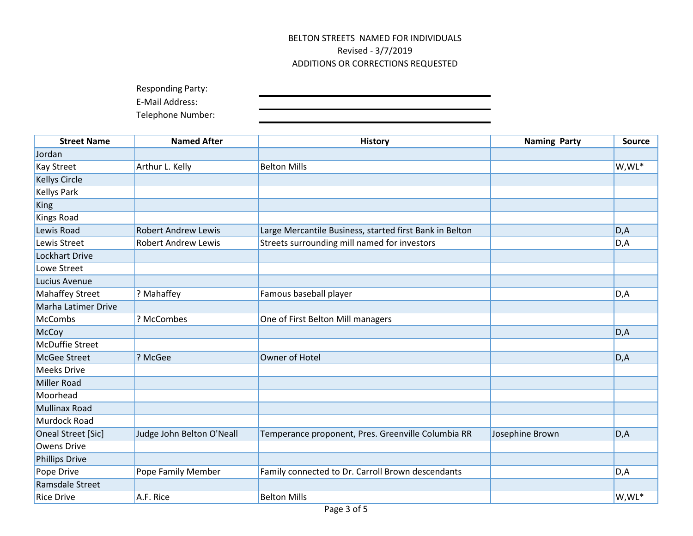Responding Party:

E-Mail Address:

| <b>Street Name</b>     | <b>Named After</b>         | <b>History</b>                                          | <b>Naming Party</b> | <b>Source</b> |
|------------------------|----------------------------|---------------------------------------------------------|---------------------|---------------|
| Jordan                 |                            |                                                         |                     |               |
| <b>Kay Street</b>      | Arthur L. Kelly            | <b>Belton Mills</b>                                     |                     | W,WL*         |
| <b>Kellys Circle</b>   |                            |                                                         |                     |               |
| <b>Kellys Park</b>     |                            |                                                         |                     |               |
| King                   |                            |                                                         |                     |               |
| <b>Kings Road</b>      |                            |                                                         |                     |               |
| Lewis Road             | <b>Robert Andrew Lewis</b> | Large Mercantile Business, started first Bank in Belton |                     | D, A          |
| Lewis Street           | <b>Robert Andrew Lewis</b> | Streets surrounding mill named for investors            |                     | D,A           |
| <b>Lockhart Drive</b>  |                            |                                                         |                     |               |
| Lowe Street            |                            |                                                         |                     |               |
| Lucius Avenue          |                            |                                                         |                     |               |
| <b>Mahaffey Street</b> | ? Mahaffey                 | Famous baseball player                                  |                     | D,A           |
| Marha Latimer Drive    |                            |                                                         |                     |               |
| <b>McCombs</b>         | ? McCombes                 | One of First Belton Mill managers                       |                     |               |
| McCoy                  |                            |                                                         |                     | D, A          |
| <b>McDuffie Street</b> |                            |                                                         |                     |               |
| <b>McGee Street</b>    | ? McGee                    | Owner of Hotel                                          |                     | D, A          |
| <b>Meeks Drive</b>     |                            |                                                         |                     |               |
| Miller Road            |                            |                                                         |                     |               |
| Moorhead               |                            |                                                         |                     |               |
| Mullinax Road          |                            |                                                         |                     |               |
| Murdock Road           |                            |                                                         |                     |               |
| Oneal Street [Sic]     | Judge John Belton O'Neall  | Temperance proponent, Pres. Greenville Columbia RR      | Josephine Brown     | D, A          |
| <b>Owens Drive</b>     |                            |                                                         |                     |               |
| <b>Phillips Drive</b>  |                            |                                                         |                     |               |
| Pope Drive             | Pope Family Member         | Family connected to Dr. Carroll Brown descendants       |                     | D,A           |
| Ramsdale Street        |                            |                                                         |                     |               |
| <b>Rice Drive</b>      | A.F. Rice                  | <b>Belton Mills</b>                                     |                     | W,WL*         |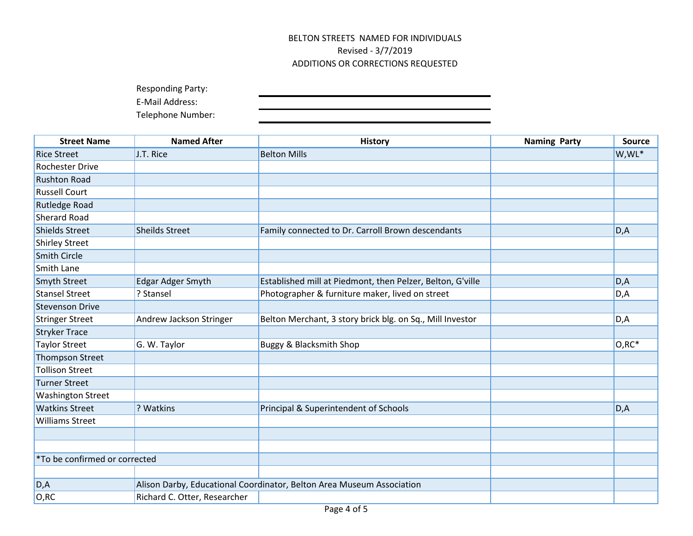Responding Party:

E-Mail Address:

| <b>Street Name</b>            | <b>Named After</b>           | <b>History</b>                                                        | <b>Naming Party</b> | <b>Source</b> |
|-------------------------------|------------------------------|-----------------------------------------------------------------------|---------------------|---------------|
| <b>Rice Street</b>            | J.T. Rice                    | <b>Belton Mills</b>                                                   |                     | W,WL*         |
| <b>Rochester Drive</b>        |                              |                                                                       |                     |               |
| <b>Rushton Road</b>           |                              |                                                                       |                     |               |
| <b>Russell Court</b>          |                              |                                                                       |                     |               |
| <b>Rutledge Road</b>          |                              |                                                                       |                     |               |
| <b>Sherard Road</b>           |                              |                                                                       |                     |               |
| <b>Shields Street</b>         | <b>Sheilds Street</b>        | Family connected to Dr. Carroll Brown descendants                     |                     | D,A           |
| <b>Shirley Street</b>         |                              |                                                                       |                     |               |
| <b>Smith Circle</b>           |                              |                                                                       |                     |               |
| Smith Lane                    |                              |                                                                       |                     |               |
| Smyth Street                  | Edgar Adger Smyth            | Established mill at Piedmont, then Pelzer, Belton, G'ville            |                     | D, A          |
| <b>Stansel Street</b>         | ? Stansel                    | Photographer & furniture maker, lived on street                       |                     | D,A           |
| <b>Stevenson Drive</b>        |                              |                                                                       |                     |               |
| <b>Stringer Street</b>        | Andrew Jackson Stringer      | Belton Merchant, 3 story brick blg. on Sq., Mill Investor             |                     | D, A          |
| <b>Stryker Trace</b>          |                              |                                                                       |                     |               |
| <b>Taylor Street</b>          | G. W. Taylor                 | <b>Buggy &amp; Blacksmith Shop</b>                                    |                     | $O, RC^*$     |
| <b>Thompson Street</b>        |                              |                                                                       |                     |               |
| <b>Tollison Street</b>        |                              |                                                                       |                     |               |
| <b>Turner Street</b>          |                              |                                                                       |                     |               |
| <b>Washington Street</b>      |                              |                                                                       |                     |               |
| <b>Watkins Street</b>         | ? Watkins                    | Principal & Superintendent of Schools                                 |                     | D, A          |
| <b>Williams Street</b>        |                              |                                                                       |                     |               |
|                               |                              |                                                                       |                     |               |
|                               |                              |                                                                       |                     |               |
| *To be confirmed or corrected |                              |                                                                       |                     |               |
|                               |                              |                                                                       |                     |               |
| D, A                          |                              | Alison Darby, Educational Coordinator, Belton Area Museum Association |                     |               |
| O, RC                         | Richard C. Otter, Researcher |                                                                       |                     |               |